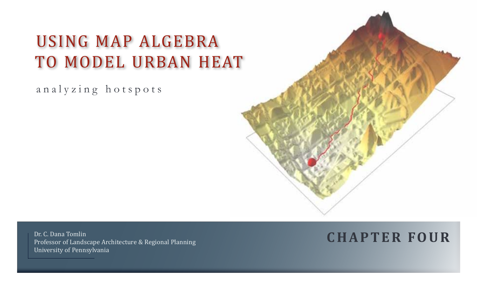# Using Map Algebra TO MODEL URBAN HEAT

analyzing hotspots



Dr. C. Dana Tomlin Professor of Landscape Architecture & Regional Planning University of Pennsylvania

# **C H A P T E R f o ur**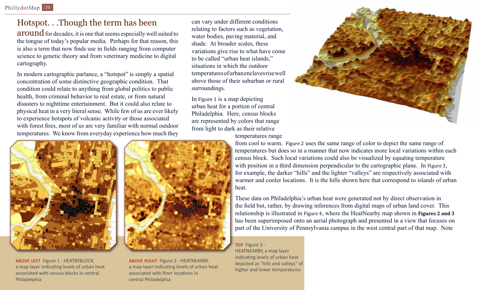# Hotspot. . .Though the term has been

 $$ the tongue of today's popular media. Perhaps for that reason, this is also a term that now finds use in fields ranging from computer science to genetic theory and from veterinary medicine to digital cartography.

In modern cartographic parlance, a "hotspot" is simply a spatial concentration of some distinctive geographic condition. That condition could relate to anything from global politics to public health, from criminal behavior to real estate, or from natural disasters to nighttime entertainment. But it could also relate to physical heat in a very literal sense. While few of us are ever likely to experience hotspots of volcanic activity or those associated with forest fires, most of us are very familiar with normal outdoor temperatures. We know from everyday experience how much they can vary under different conditions relating to factors such as vegetation, water bodies, paving material, and shade. At broader scales, these variations give rise to what have come to be called "urban heat islands," situations in which the outdoor temperatures of urban enclaves rise well above those of their suburban or rural surroundings.

In Figure 1 is a map depicting urban heat for a portion of central Philadelphia. Here, census blocks are represented by colors that range from light to dark as their relative



temperatures range



above left Figure 1 - HEATBYBLOCK, a map layer indicating levels of urban heat associated with census blocks in central Philadelphia



ABOVE RIGHT Figure 2 - HEATNEARBY, a map layer indicating levels of urban heat associated with finer locations in central Philadelphia

from cool to warm. Figure 2 uses the same range of color to depict the same range of temperatures but does so in a manner that now indicates more local variations within each census block. Such local variations could also be visualized by equating temperature with position in a third dimension perpendicular to the cartographic plane. In Figure 3, for example, the darker "hills" and the lighter "valleys" are respectively associated with warmer and cooler locations. It is the hills shown here that correspond to islands of urban heat.

These data on Philadelphia's urban heat were generated not by direct observation in the field but, rather, by drawing inferences from digital maps of urban land cover. This relationship is illustrated in Figure 4, where the HeatNearby map shown in **Figures 2 and 3** has been superimposed onto an aerial photograph and presented in a view that focuses on part of the University of Pennsylvania campus in the west central part of that map. Note

TOP Figure 3 -HEATNEARBY, a map layer indicating levels of urban heat depicted as "hills and valleys" of higher and lower temperatures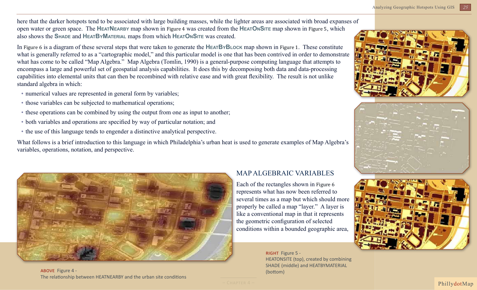*25* Analyzing Geographic Hotspots Using GIS

here that the darker hotspots tend to be associated with large building masses, while the lighter areas are associated with broad expanses of open water or green space. The **HeatNearby** map shown in Figure 4 was created from the **HeatOnSite** map shown in Figure 5, which also shows the **Shade** and **HeatByMaterial** maps from which **HeatOnSite** was created.

In Figure 6 is a diagram of these several steps that were taken to generate the **HeatByBlock** map shown in Figure 1. These constitute what is generally referred to as a "cartographic model," and this particular model is one that has been contrived in order to demonstrate what has come to be called "Map Algebra." Map Algebra (Tomlin, 1990) is a general-purpose computing language that attempts to encompass a large and powerful set of geospatial analysis capabilities. It does this by decomposing both data and data-processing capabilities into elemental units that can then be recombined with relative ease and with great flexibility. The result is not unlike standard algebra in which:

- numerical values are represented in general form by variables;
- those variables can be subjected to mathematical operations;
- these operations can be combined by using the output from one as input to another;
- both variables and operations are specified by way of particular notation; and
- the use of this language tends to engender a distinctive analytical perspective.

What follows is a brief introduction to this language in which Philadelphia's urban heat is used to generate examples of Map Algebra's variables, operations, notation, and perspective.



above Figure 4 - 1999 - 1999 - 1999 - 1999 - 1999 - 1999 - 1999 - 1999 - 1999 - 1999 - 1999 - 1999 - 1999 - 19<br>The same states of the state of the state of the state of the state of the state of the state of the state of The relationship between HEATNEARBY and the urban site conditions

### Map Algebraic Variables

Each of the rectangles shown in Figure 6 represents what has now been referred to several times as a map but which should more properly be called a map "layer." A layer is like a conventional map in that it represents the geometric configuration of selected conditions within a bounded geographic area,

> RIGHT Figure 5 -HEATONSITE (top), created by combining SHADE (middle) and HEATBYMATERIAL







PhillydotMap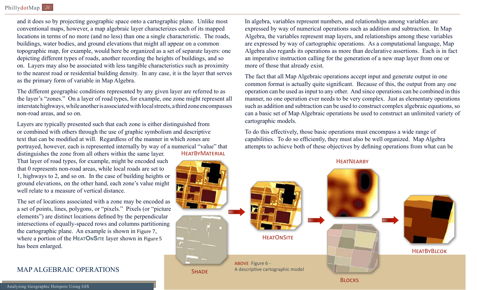and it does so by projecting geographic space onto a cartographic plane. Unlike most conventional maps, however, a map algebraic layer characterizes each of its mapped locations in terms of no more (and no less) than one a single characteristic. The roads, buildings, water bodies, and ground elevations that might all appear on a common topographic map, for example, would here be organized as a set of separate layers: one depicting different types of roads, another recording the heights of buildings, and so on. Layers may also be associated with less tangible characteristics such as proximity to the nearest road or residential building density. In any case, it is the layer that serves as the primary form of variable in Map Algebra.

The different geographic conditions represented by any given layer are referred to as the layer's "zones." On a layer of road types, for example, one zone might represent all interstate highways, while another is associated with local streets, a third zone encompasses non-road areas, and so on.

Layers are typically presented such that each zone is either distinguished from or combined with others through the use of graphic symbolism and descriptive text that can be modified at will. Regardless of the manner in which zones are portrayed, however, each is represented internally by way of a numerical "value" that distinguishes the zone from all others within the same layer. **HEATBYMATERIAL** 

That layer of road types, for example, might be encoded such that 0 represents non-road areas, while local roads are set to 1, highways to 2, and so on. In the case of building heights or ground elevations, on the other hand, each zone's value might well relate to a measure of vertical distance.

The set of locations associated with a zone may be encoded as a set of points, lines, polygons, or "pixels." Pixels (or "picture elements") are distinct locations defined by the perpendicular intersections of equally-spaced rows and columns partitioning the cartographic plane. An example is shown in Figure 7, where a portion of the **HEATONSITE** layer shown in Figure 5 has been enlarged.

## Map Algebraic Operations

In algebra, variables represent numbers, and relationships among variables are expressed by way of numerical operations such as addition and subtraction. In Map Algebra, the variables represent map layers, and relationships among these variables are expressed by way of cartographic operations. As a computational language, Map Algebra also regards its operations as more than declarative assertions. Each is in fact an imperative instruction calling for the generation of a new map layer from one or more of those that already exist.

The fact that all Map Algebraic operations accept input and generate output in one common format is actually quite significant. Because of this, the output from any one operation can be used as input to any other. And since operations can be combined in this manner, no one operation ever needs to be very complex. Just as elementary operations such as addition and subtraction can be used to construct complex algebraic equations, so can a basic set of Map Algebraic operations be used to construct an unlimited variety of cartographic models.

To do this effectively, those basic operations must encompass a wide range of capabilities. To do so efficiently, they must also be well organized. Map Algebra attempts to achieve both of these objectives by defining operations from what can be

ABOVE Figure 6 -SHADE A descriptive cartographic model **BLOCKS HEATBYBLCOK HEATONSITE HEATNEARBY**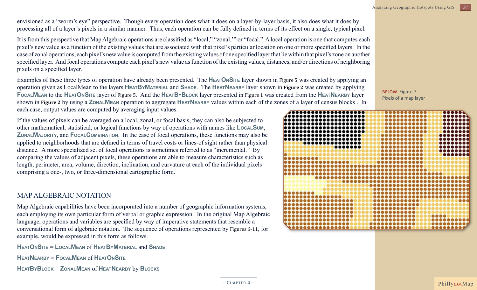envisioned as a "worm's eye" perspective. Though every operation does what it does on a layer-by-layer basis, it also does what it does by processing all of a layer's pixels in a similar manner. Thus, each operation can be fully defined in terms of its effect on a single, typical pixel.

It is from this perspective that Map Algebraic operations are classified as "local," "zonal,'" or "focal." A local operation is one that computes each pixel's new value as a function of the existing values that are associated with that pixel's particular location on one or more specified layers. In the case of zonal operations, each pixel's new value is computed from the existing values of one specified layer that lie within that pixel's zone on another specified layer. And focal operations compute each pixel's new value as function of the existing values, distances, and/or directions of neighboring pixels on a specified layer.

Examples of these three types of operation have already been presented. The **HEATONSITE** layer shown in Figure 5 was created by applying an operation given as LocalMean to the layers **HeatByMaterial** and **Shade**. The **HeatNearby** layer shown in **Figure 2** was created by applying **FocalMean** to the **HeatOnSite** layer of Figure 5. And the **HeatByBlock** layer presented in Figure 1 was created from the **HeatNearby** layer shown in **Figure 2** by using a **ZonalMean** operation to aggregate **HeatNearby** values within each of the zones of a layer of census blocks . In each case, output values are computed by averaging input values.

If the values of pixels can be averaged on a local, zonal, or focal basis, they can also be subjected to other mathematical, statistical, or logical functions by way of operations with names like **LocalSum**, **ZonalMajority**, and **FocalCombination**. In the case of focal operations, these functions may also be applied to neighborhoods that are defined in terms of travel costs or lines-of sight rather than physical distance. A more specialized set of focal operations is sometimes referred to as "incremental." By comparing the values of adjacent pixels, these operations are able to measure characteristics such as length, perimeter, area, volume, direction, inclination, and curvature at each of the individual pixels comprising a one-, two, or three-dimensional cartographic form.

### MAP ALGEBRAIC NOTATION

Map Algebraic capabilities have been incorporated into a number of geographic information systems, each employing its own particular form of verbal or graphic expression. In the original Map Algebraic language, operations and variables are specified by way of imperative statements that resemble a conversational form of algebraic notation. The sequence of operations represented by Figures 6-11, for example, would be expressed in this form as follows.

**HeatOnSite** = **LocalMean** of **HeatByMaterial** and **Shade**

**HeatNearby** = **FocalMean** of **HeatOnSite**

**HeatByBlock** = **ZonalMean** of **HeatNearby** by **Blocks**

BELOW Figure 7 -Pixels of a map layer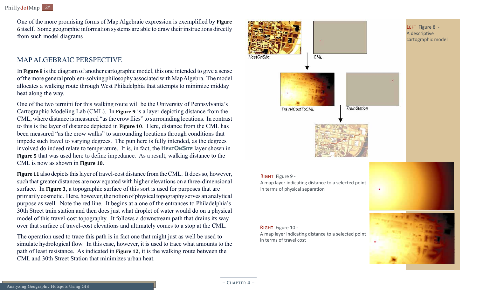One of the more promising forms of Map Algebraic expression is exemplified by **Figure 6** itself. Some geographic information systems are able to draw their instructions directly from such model diagrams

#### MAP ALGEBRAIC PERSPECTIVE

In **Figure 8** is the diagram of another cartographic model, this one intended to give a sense of the more general problem-solving philosophy associated with Map Algebra. The model allocates a walking route through West Philadelphia that attempts to minimize midday heat along the way.

One of the two termini for this walking route will be the University of Pennsylvania's Cartographic Modeling Lab (CML). In **Figure 9** is a layer depicting distance from the CML, where distance is measured "as the crow flies" to surrounding locations. In contrast to this is the layer of distance depicted in **Figure 10**. Here, distance from the CML has been measured "as the crow walks" to surrounding locations through conditions that impede such travel to varying degrees. The pun here is fully intended, as the degrees involved do indeed relate to temperature. It is, in fact, the **HEATONSITE** layer shown in **Figure 5** that was used here to define impedance. As a result, walking distance to the CML is now as shown in **Figure 10**.

**Figure 11** also depicts this layer of travel-cost distance from the CML. It does so, however, such that greater distances are now equated with higher elevations on a three-dimensional surface. In **Figure 3**, a topographic surface of this sort is used for purposes that are primarily cosmetic. Here, however, the notion of physical topography serves an analytical purpose as well. Note the red line. It begins at a one of the entrances to Philadelphia's 30th Street train station and then does just what droplet of water would do on a physical model of this travel-cost topography. It follows a downstream path that drains its way over that surface of travel-cost elevations and ultimately comes to a stop at the CML.

The operation used to trace this path is in fact one that might just as well be used to simulate hydrological flow. In this case, however, it is used to trace what amounts to the path of least resistance. As indicated in **Figure 12**, it is the walking route between the CML and 30th Street Station that minimizes urban heat.



#### RIGHT Figure 9 -

A map layer indicating distance to a selected point in terms of physical separation

#### RIGHT Figure 10 -

A map layer indicating distance to a selected point in terms of travel cost